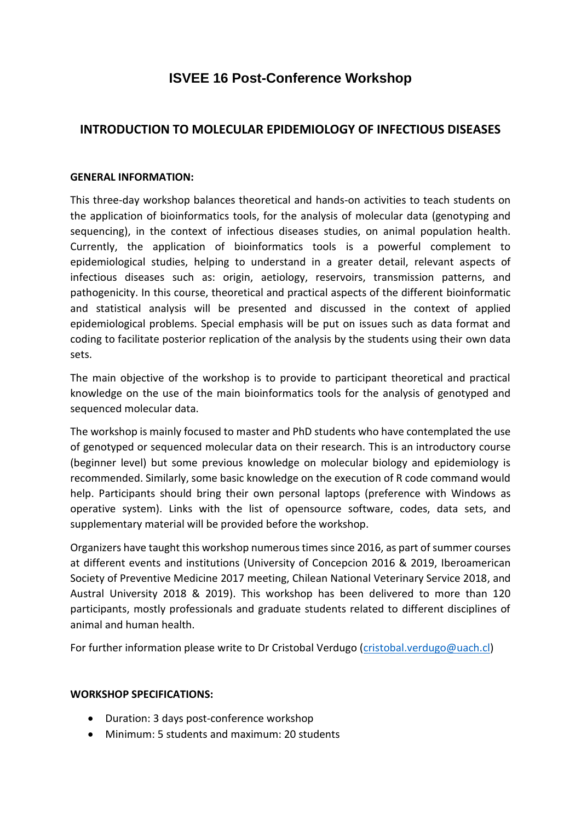# **ISVEE 16 Post-Conference Workshop**

# **INTRODUCTION TO MOLECULAR EPIDEMIOLOGY OF INFECTIOUS DISEASES**

## **GENERAL INFORMATION:**

This three-day workshop balances theoretical and hands-on activities to teach students on the application of bioinformatics tools, for the analysis of molecular data (genotyping and sequencing), in the context of infectious diseases studies, on animal population health. Currently, the application of bioinformatics tools is a powerful complement to epidemiological studies, helping to understand in a greater detail, relevant aspects of infectious diseases such as: origin, aetiology, reservoirs, transmission patterns, and pathogenicity. In this course, theoretical and practical aspects of the different bioinformatic and statistical analysis will be presented and discussed in the context of applied epidemiological problems. Special emphasis will be put on issues such as data format and coding to facilitate posterior replication of the analysis by the students using their own data sets.

The main objective of the workshop is to provide to participant theoretical and practical knowledge on the use of the main bioinformatics tools for the analysis of genotyped and sequenced molecular data.

The workshop is mainly focused to master and PhD students who have contemplated the use of genotyped or sequenced molecular data on their research. This is an introductory course (beginner level) but some previous knowledge on molecular biology and epidemiology is recommended. Similarly, some basic knowledge on the execution of R code command would help. Participants should bring their own personal laptops (preference with Windows as operative system). Links with the list of opensource software, codes, data sets, and supplementary material will be provided before the workshop.

Organizers have taught this workshop numerous times since 2016, as part of summer courses at different events and institutions (University of Concepcion 2016 & 2019, Iberoamerican Society of Preventive Medicine 2017 meeting, Chilean National Veterinary Service 2018, and Austral University 2018 & 2019). This workshop has been delivered to more than 120 participants, mostly professionals and graduate students related to different disciplines of animal and human health.

For further information please write to Dr Cristobal Verdugo [\(cristobal.verdugo@uach.cl\)](mailto:cristobal.verdugo@uach.cl)

## **WORKSHOP SPECIFICATIONS:**

- Duration: 3 days post-conference workshop
- Minimum: 5 students and maximum: 20 students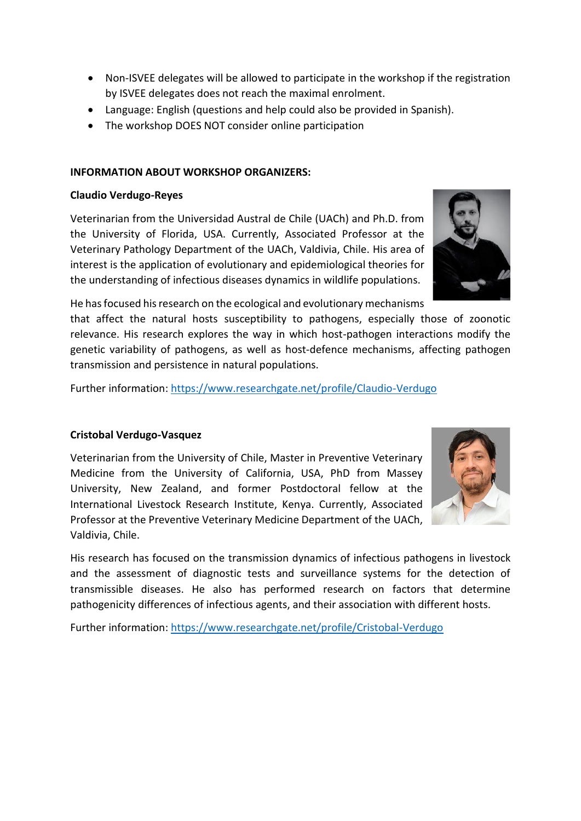- Non-ISVEE delegates will be allowed to participate in the workshop if the registration by ISVEE delegates does not reach the maximal enrolment.
- Language: English (questions and help could also be provided in Spanish).
- The workshop DOES NOT consider online participation

# **INFORMATION ABOUT WORKSHOP ORGANIZERS:**

## **Claudio Verdugo-Reyes**

Veterinarian from the Universidad Austral de Chile (UACh) and Ph.D. from the University of Florida, USA. Currently, Associated Professor at the Veterinary Pathology Department of the UACh, Valdivia, Chile. His area of interest is the application of evolutionary and epidemiological theories for the understanding of infectious diseases dynamics in wildlife populations.



He has focused his research on the ecological and evolutionary mechanisms

that affect the natural hosts susceptibility to pathogens, especially those of zoonotic relevance. His research explores the way in which host-pathogen interactions modify the genetic variability of pathogens, as well as host-defence mechanisms, affecting pathogen transmission and persistence in natural populations.

Further information:<https://www.researchgate.net/profile/Claudio-Verdugo>

## **Cristobal Verdugo-Vasquez**

Veterinarian from the University of Chile, Master in Preventive Veterinary Medicine from the University of California, USA, PhD from Massey University, New Zealand, and former Postdoctoral fellow at the International Livestock Research Institute, Kenya. Currently, Associated Professor at the Preventive Veterinary Medicine Department of the UACh, Valdivia, Chile.

His research has focused on the transmission dynamics of infectious pathogens in livestock and the assessment of diagnostic tests and surveillance systems for the detection of transmissible diseases. He also has performed research on factors that determine pathogenicity differences of infectious agents, and their association with different hosts.

Further information:<https://www.researchgate.net/profile/Cristobal-Verdugo>